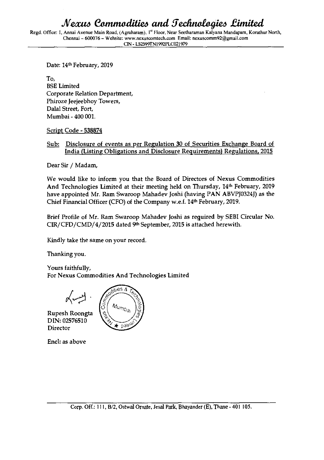## *Mexus* Commodities and Jechnologies Limited

**Regd. Office: I, Annai Avenue Main Road, (Agraharam), l " Floor, Near Seetharaman Kalyana Mandapam, Korathur North, Chennai - 600076 - Wehsite: [wvvw.nexuscomtech.com](http://wvvw.nexuscomtech.com) Email: [nexuscomm92@gmail.com](mailto:nexuscomm92@gmail.com)  CIN - L52599TN1992PLC021979** 

**Date: 14\* February, 2019** 

**To, BSE Limited Corporate Relation Department, Phiroze Jeejeebhoy Towers, Dalai Street, Fort, Mumbai - 400 001.** 

**Script Code - 538874** 

## Sub: Disclosure of events as per Regulation 30 of Securities Exchange Board of **India (Listing Obligations and Disclosure Requirements) Regulations, 2015**

**Dear Sir / Madam,** 

**We would like to inform you that the Board of Directors of Nexus Commodities**  And Technologies Limited at their meeting held on Thursday, 14<sup>th</sup> February, 2019 **have appointed Mr. Ram Swaroop Mahadev Joshi (having PAN ABVPJ0324J) as the Chief Financial Officer (CFO) of the Company w.e.f. 14\* February, 2019.** 

**Brief Profile of Mr. Ram Swaroop Mahadev Joshi as required by SEBI Circular No. CIR/CFD/CMD/4/201 5 dated 9\* September, 2015 is attached herewith.** 

**Kindly take the same on your record.** 

**Thanking you.** 

**Yours faithfully. For Nexus Commodities And Technologies Limited** 

**/-^ -**

**Rupesh Roongta DIN: 02576510 Director** 

**End: as above**